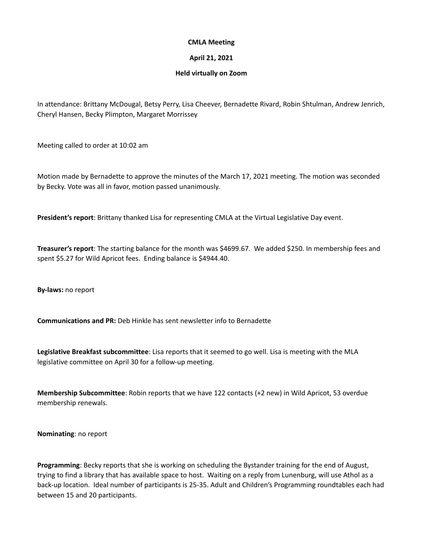## **CMLA Meeting**

## **April 21, 2021**

## **Held virtually on Zoom**

In attendance: Brittany McDougal, Betsy Perry, Lisa Cheever, Bernadette Rivard, Robin Shtulman, Andrew Jenrich, Cheryl Hansen, Becky Plimpton, Margaret Morrissey

Meeting called to order at 10:02 am

Motion made by Bernadette to approve the minutes of the March 17, 2021 meeting. The motion was seconded by Becky. Vote was all in favor, motion passed unanimously.

**President's report**: Brittany thanked Lisa for representing CMLA at the Virtual Legislative Day event.

**Treasurer's report**: The starting balance for the month was \$4699.67. We added \$250. In membership fees and spent \$5.27 for Wild Apricot fees. Ending balance is \$4944.40.

**By-laws:** no report

**Communications and PR:** Deb Hinkle has sent newsletter info to Bernadette

**Legislative Breakfast subcommittee**: Lisa reports that it seemed to go well. Lisa is meeting with the MLA legislative committee on April 30 for a follow-up meeting.

**Membership Subcommittee**: Robin reports that we have 122 contacts (+2 new) in Wild Apricot, 53 overdue membership renewals.

**Nominating**: no report

**Programming**: Becky reports that she is working on scheduling the Bystander training for the end of August, trying to find a library that has available space to host. Waiting on a reply from Lunenburg, will use Athol as a back-up location. Ideal number of participants is 25-35. Adult and Children's Programming roundtables each had between 15 and 20 participants.